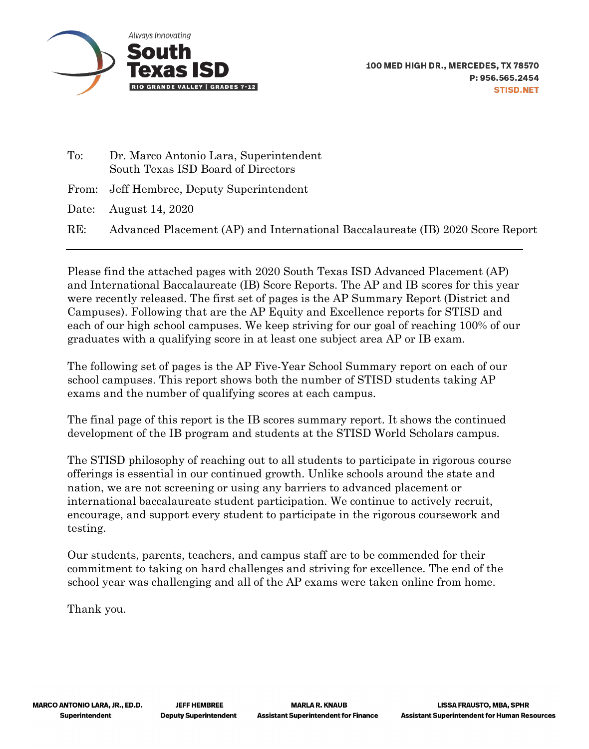

| $\mathrm{To:}$ | Dr. Marco Antonio Lara, Superintendent<br>South Texas ISD Board of Directors   |
|----------------|--------------------------------------------------------------------------------|
|                | From: Jeff Hembree, Deputy Superintendent                                      |
|                | Date: August 14, $2020$                                                        |
| RE:            | Advanced Placement (AP) and International Baccalaureate (IB) 2020 Score Report |

Please find the attached pages with 2020 South Texas ISD Advanced Placement (AP) and International Baccalaureate (IB) Score Reports. The AP and IB scores for this year were recently released. The first set of pages is the AP Summary Report (District and Campuses). Following that are the AP Equity and Excellence reports for STISD and each of our high school campuses. We keep striving for our goal of reaching 100% of our graduates with a qualifying score in at least one subject area AP or IB exam.

The following set of pages is the AP Five-Year School Summary report on each of our school campuses. This report shows both the number of STISD students taking AP exams and the number of qualifying scores at each campus.

The final page of this report is the IB scores summary report. It shows the continued development of the IB program and students at the STISD World Scholars campus.

The STISD philosophy of reaching out to all students to participate in rigorous course offerings is essential in our continued growth. Unlike schools around the state and nation, we are not screening or using any barriers to advanced placement or international baccalaureate student participation. We continue to actively recruit, encourage, and support every student to participate in the rigorous coursework and testing.

Our students, parents, teachers, and campus staff are to be commended for their commitment to taking on hard challenges and striving for excellence. The end of the school year was challenging and all of the AP exams were taken online from home.

Thank you.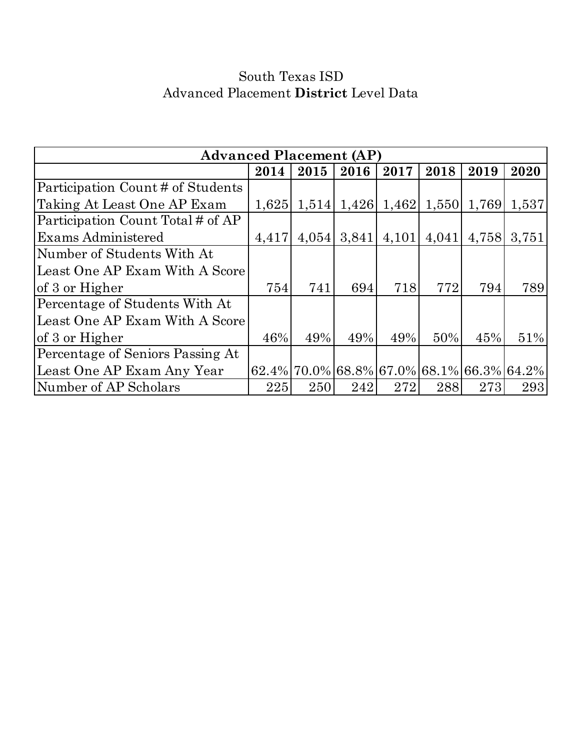# South Texas ISD Advanced Placement **District** Level Data

| <b>Advanced Placement (AP)</b>    |       |       |                     |       |       |                                              |       |  |  |
|-----------------------------------|-------|-------|---------------------|-------|-------|----------------------------------------------|-------|--|--|
|                                   | 2014  | 2015  | 2016                | 2017  | 2018  | 2019                                         | 2020  |  |  |
| Participation Count # of Students |       |       |                     |       |       |                                              |       |  |  |
| Taking At Least One AP Exam       | 1,625 |       | $1,514$ 1,426 1,462 |       |       | $1,550$ 1,769                                | 1,537 |  |  |
| Participation Count Total # of AP |       |       |                     |       |       |                                              |       |  |  |
| Exams Administered                | 4,417 | 4,054 | 3,841               | 4,101 | 4,041 | 4,758                                        | 3,751 |  |  |
| Number of Students With At        |       |       |                     |       |       |                                              |       |  |  |
| Least One AP Exam With A Score    |       |       |                     |       |       |                                              |       |  |  |
| of 3 or Higher                    | 754   | 741   | 694                 | 718   | 772   | 794                                          | 789   |  |  |
| Percentage of Students With At    |       |       |                     |       |       |                                              |       |  |  |
| Least One AP Exam With A Score    |       |       |                     |       |       |                                              |       |  |  |
| of 3 or Higher                    | 46%   | 49%   | 49%                 | 49%   | 50%   | 45%                                          | 51%   |  |  |
| Percentage of Seniors Passing At  |       |       |                     |       |       |                                              |       |  |  |
| Least One AP Exam Any Year        |       |       |                     |       |       | $62.4\%$ 70.0% 68.8% 67.0% 68.1% 66.3% 64.2% |       |  |  |
| Number of AP Scholars             | 225   | 250   | 242                 | 272   | 288   | 273                                          | 293   |  |  |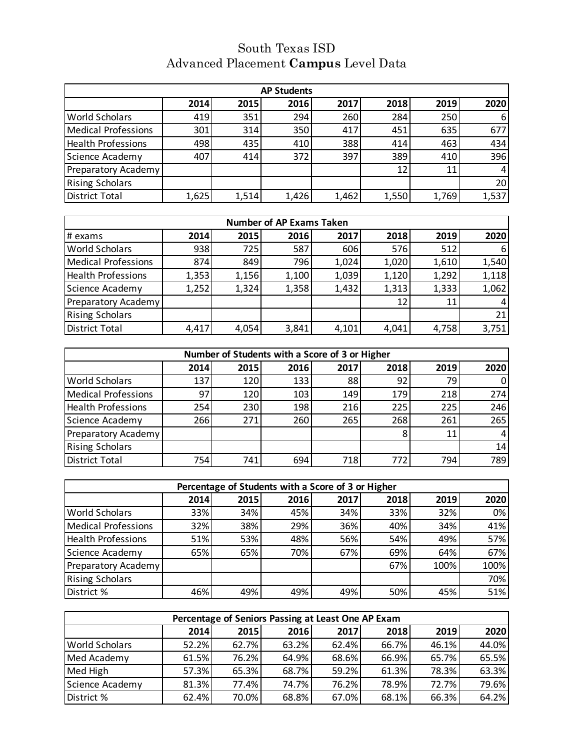## Advanced Placement **Campus** Level Data South Texas ISD

| <b>AP Students</b>         |       |       |       |       |       |       |       |
|----------------------------|-------|-------|-------|-------|-------|-------|-------|
|                            | 2014  | 2015  | 2016  | 2017  | 2018  | 2019  | 2020  |
| <b>World Scholars</b>      | 419   | 351   | 294   | 260   | 284   | 250   | 6     |
| Medical Professions        | 301   | 314   | 350   | 417   | 451   | 635   | 677   |
| <b>Health Professions</b>  | 498   | 435   | 410   | 388   | 414   | 463   | 434   |
| Science Academy            | 407   | 414   | 372   | 397   | 389   | 410   | 396   |
| <b>Preparatory Academy</b> |       |       |       |       | 12    | 11    | 4     |
| <b>Rising Scholars</b>     |       |       |       |       |       |       | 20    |
| <b>District Total</b>      | 1,625 | 1,514 | 1,426 | 1,462 | 1,550 | 1,769 | 1,537 |

| <b>Number of AP Exams Taken</b> |       |       |       |       |       |       |       |
|---------------------------------|-------|-------|-------|-------|-------|-------|-------|
| # exams                         | 2014  | 2015  | 2016  | 2017  | 2018  | 2019  | 2020  |
| <b>World Scholars</b>           | 938   | 725   | 587   | 606   | 576   | 512   | 6     |
| <b>Medical Professions</b>      | 874   | 849   | 796   | 1,024 | 1,020 | 1,610 | 1,540 |
| <b>Health Professions</b>       | 1,353 | 1,156 | 1,100 | 1,039 | 1,120 | 1,292 | 1,118 |
| Science Academy                 | 1,252 | 1,324 | 1,358 | 1,432 | 1,313 | 1,333 | 1,062 |
| <b>Preparatory Academy</b>      |       |       |       |       | 12    |       | 4     |
| <b>Rising Scholars</b>          |       |       |       |       |       |       | 21    |
| <b>District Total</b>           | 4,417 | 4,054 | 3,841 | 4,101 | 4,041 | 4,758 | 3,751 |

| Number of Students with a Score of 3 or Higher |      |      |      |      |      |      |                |
|------------------------------------------------|------|------|------|------|------|------|----------------|
|                                                | 2014 | 2015 | 2016 | 2017 | 2018 | 2019 | 2020           |
| <b>World Scholars</b>                          | 137  | 120  | 133  | 88   | 92   | 79   | $\overline{0}$ |
| <b>Medical Professions</b>                     | 97   | 120  | 103  | 149  | 179  | 218  | 274            |
| <b>Health Professions</b>                      | 254  | 230  | 198  | 216  | 225  | 225  | 246            |
| Science Academy                                | 266  | 271  | 260  | 265  | 268  | 261  | 265            |
| Preparatory Academy                            |      |      |      |      |      | 11   | 4              |
| <b>Rising Scholars</b>                         |      |      |      |      |      |      | 14             |
| <b>District Total</b>                          | 754  | 741  | 694  | 718  | 772  | 794  | 789            |

| Percentage of Students with a Score of 3 or Higher |      |      |      |      |      |      |      |
|----------------------------------------------------|------|------|------|------|------|------|------|
|                                                    | 2014 | 2015 | 2016 | 2017 | 2018 | 2019 | 2020 |
| <b>World Scholars</b>                              | 33%  | 34%  | 45%  | 34%  | 33%  | 32%  | 0%   |
| Medical Professions                                | 32%  | 38%  | 29%  | 36%  | 40%  | 34%  | 41%  |
| <b>Health Professions</b>                          | 51%  | 53%  | 48%  | 56%  | 54%  | 49%  | 57%  |
| Science Academy                                    | 65%  | 65%  | 70%  | 67%  | 69%  | 64%  | 67%  |
| <b>Preparatory Academy</b>                         |      |      |      |      | 67%  | 100% | 100% |
| <b>Rising Scholars</b>                             |      |      |      |      |      |      | 70%  |
| District %                                         | 46%  | 49%  | 49%  | 49%  | 50%  | 45%  | 51%  |

| Percentage of Seniors Passing at Least One AP Exam |             |       |       |       |       |       |       |
|----------------------------------------------------|-------------|-------|-------|-------|-------|-------|-------|
|                                                    | <b>2014</b> | 2015  | 2016  | 2017  | 2018  | 2019  | 2020  |
| <b>World Scholars</b>                              | 52.2%       | 62.7% | 63.2% | 62.4% | 66.7% | 46.1% | 44.0% |
| Med Academy                                        | 61.5%       | 76.2% | 64.9% | 68.6% | 66.9% | 65.7% | 65.5% |
| Med High                                           | 57.3%       | 65.3% | 68.7% | 59.2% | 61.3% | 78.3% | 63.3% |
| Science Academy                                    | 81.3%       | 77.4% | 74.7% | 76.2% | 78.9% | 72.7% | 79.6% |
| District %                                         | 62.4%       | 70.0% | 68.8% | 67.0% | 68.1% | 66.3% | 64.2% |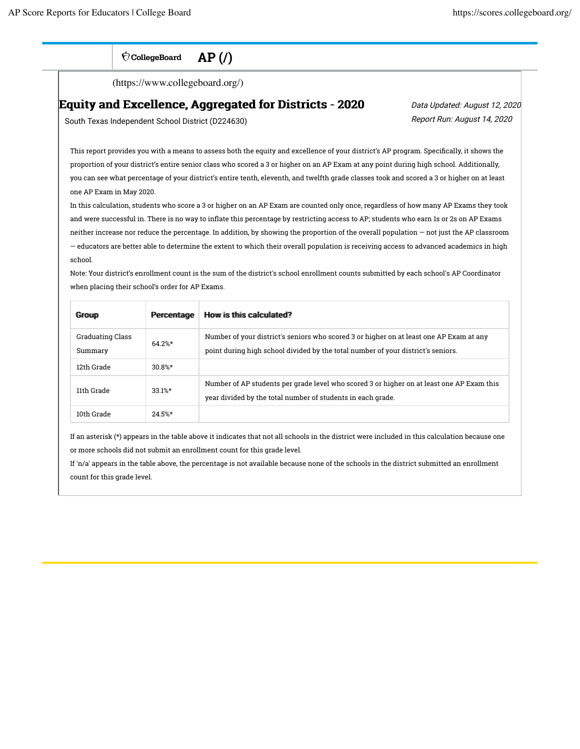| <b>CollegeBoard</b> | AP( |  |
|---------------------|-----|--|
|---------------------|-----|--|

(https://www.collegeboard.org/)

### Equity and Excellence, Aggregated for Districts - 2020

 Data Updated: August 12, 2020 Report Run: August 14, 2020

South Texas Independent School District (D224630)

This report provides you with a means to assess both the equity and excellence of your district's AP program. Specifically, it shows the proportion of your district's entire senior class who scored a 3 or higher on an AP Exam at any point during high school. Additionally, you can see what percentage of your district's entire tenth, eleventh, and twelfth grade classes took and scored a 3 or higher on at least one AP Exam in May 2020.

In this calculation, students who score a 3 or higher on an AP Exam are counted only once, regardless of how many AP Exams they took and were successful in. There is no way to inflate this percentage by restricting access to AP; students who earn 1s or 2s on AP Exams neither increase nor reduce the percentage. In addition, by showing the proportion of the overall population — not just the AP classroom — educators are better able to determine the extent to which their overall population is receiving access to advanced academics in high school.

Note: Your district's enrollment count is the sum of the district's school enrollment counts submitted by each school's AP Coordinator when placing their school's order for AP Exams.

| <b>Group</b>                | Percentage | How is this calculated?                                                                                                                                                     |
|-----------------------------|------------|-----------------------------------------------------------------------------------------------------------------------------------------------------------------------------|
| Graduating Class<br>Summary | $64.2%$ *  | Number of your district's seniors who scored 3 or higher on at least one AP Exam at any<br>point during high school divided by the total number of your district's seniors. |
| 12th Grade                  | $30.8%$ *  |                                                                                                                                                                             |
| 11th Grade                  | $33.1%$ *  | Number of AP students per grade level who scored 3 or higher on at least one AP Exam this<br>year divided by the total number of students in each grade.                    |
| 10th Grade                  | $24.5%$ *  |                                                                                                                                                                             |

If an asterisk (\*) appears in the table above it indicates that not all schools in the district were included in this calculation because one or more schools did not submit an enrollment count for this grade level.

If 'n/a' appears in the table above, the percentage is not available because none of the schools in the district submitted an enrollment count for this grade level.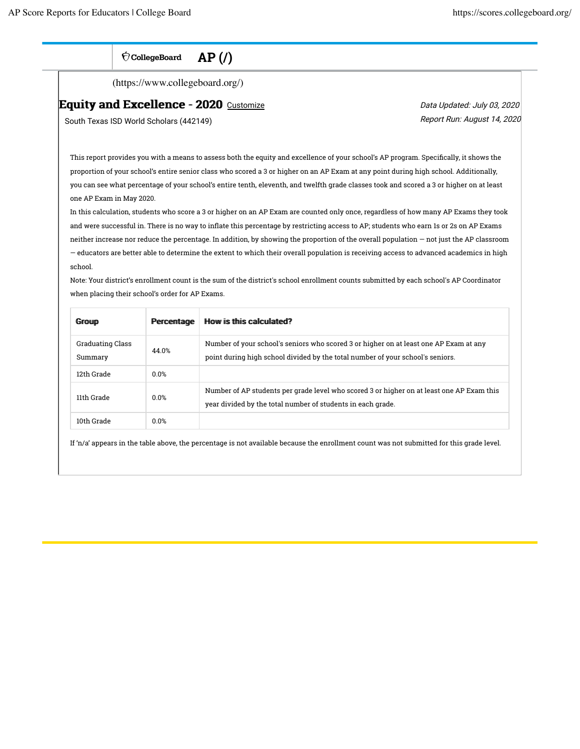$\bigcirc$  CollegeBoard  $AP($ 

(https://www.collegeboard.org/)

#### Equity and Excellence - 2020 Customize

South Texas ISD World Scholars (442149)

Data Updated: July 03, 2020 Report Run: August 14, 2020

This report provides you with a means to assess both the equity and excellence of your school's AP program. Specifically, it shows the proportion of your school's entire senior class who scored a 3 or higher on an AP Exam at any point during high school. Additionally, you can see what percentage of your school's entire tenth, eleventh, and twelfth grade classes took and scored a 3 or higher on at least one AP Exam in May 2020.

In this calculation, students who score a 3 or higher on an AP Exam are counted only once, regardless of how many AP Exams they took and were successful in. There is no way to inflate this percentage by restricting access to AP; students who earn 1s or 2s on AP Exams neither increase nor reduce the percentage. In addition, by showing the proportion of the overall population — not just the AP classroom — educators are better able to determine the extent to which their overall population is receiving access to advanced academics in high school.

Note: Your district's enrollment count is the sum of the district's school enrollment counts submitted by each school's AP Coordinator when placing their school's order for AP Exams.

| <b>Group</b>                | Percentage | How is this calculated?                                                                                                                                                 |
|-----------------------------|------------|-------------------------------------------------------------------------------------------------------------------------------------------------------------------------|
| Graduating Class<br>Summary | 44.0%      | Number of your school's seniors who scored 3 or higher on at least one AP Exam at any<br>point during high school divided by the total number of your school's seniors. |
| 12th Grade                  | 0.0%       |                                                                                                                                                                         |
| 11th Grade                  | 0.0%       | Number of AP students per grade level who scored 3 or higher on at least one AP Exam this<br>year divided by the total number of students in each grade.                |
| 10th Grade                  | 0.0%       |                                                                                                                                                                         |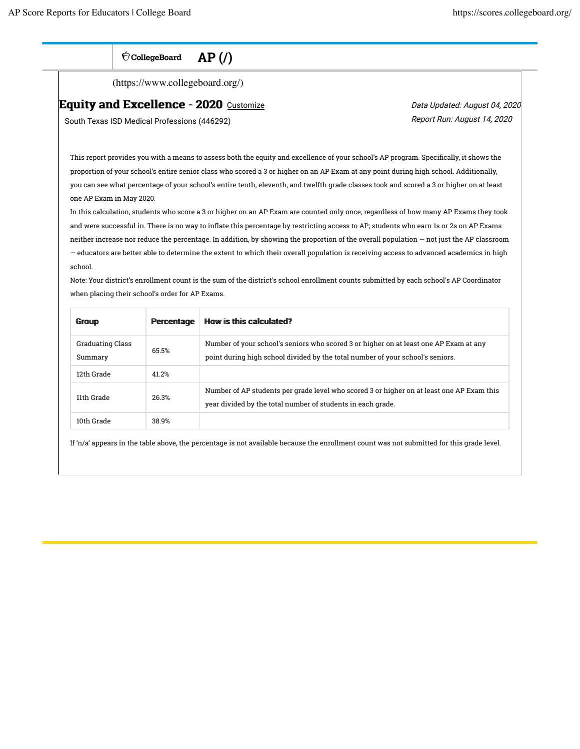$\bigcirc$  CollegeBoard  $AP($ 

(https://www.collegeboard.org/)

#### Equity and Excellence - 2020 Customize

South Texas ISD Medical Professions (446292)

Data Updated: August 04, 2020 Report Run: August 14, 2020

This report provides you with a means to assess both the equity and excellence of your school's AP program. Specifically, it shows the proportion of your school's entire senior class who scored a 3 or higher on an AP Exam at any point during high school. Additionally, you can see what percentage of your school's entire tenth, eleventh, and twelfth grade classes took and scored a 3 or higher on at least one AP Exam in May 2020.

In this calculation, students who score a 3 or higher on an AP Exam are counted only once, regardless of how many AP Exams they took and were successful in. There is no way to inflate this percentage by restricting access to AP; students who earn 1s or 2s on AP Exams neither increase nor reduce the percentage. In addition, by showing the proportion of the overall population — not just the AP classroom — educators are better able to determine the extent to which their overall population is receiving access to advanced academics in high school.

Note: Your district's enrollment count is the sum of the district's school enrollment counts submitted by each school's AP Coordinator when placing their school's order for AP Exams.

| <b>Group</b>                | Percentage | How is this calculated?                                                                                                                                                 |
|-----------------------------|------------|-------------------------------------------------------------------------------------------------------------------------------------------------------------------------|
| Graduating Class<br>Summary | 65.5%      | Number of your school's seniors who scored 3 or higher on at least one AP Exam at any<br>point during high school divided by the total number of your school's seniors. |
| 12th Grade                  | 41 2%      |                                                                                                                                                                         |
| 11th Grade                  | 26.3%      | Number of AP students per grade level who scored 3 or higher on at least one AP Exam this<br>year divided by the total number of students in each grade.                |
| 10th Grade                  | 38.9%      |                                                                                                                                                                         |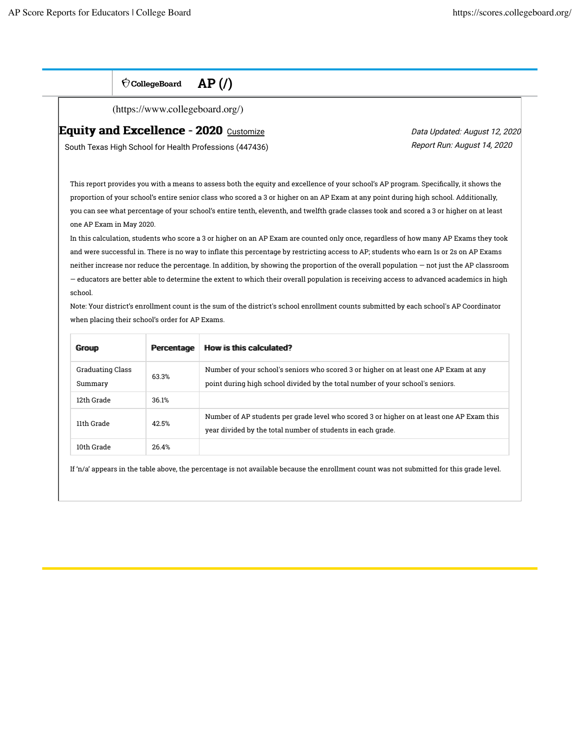$\bigcirc$  CollegeBoard  $AP($ 

(https://www.collegeboard.org/)

## Equity and Excellence - 2020 Customize

South Texas High School for Health Professions (447436)

Data Updated: August 12, 2020 Report Run: August 14, 2020

This report provides you with a means to assess both the equity and excellence of your school's AP program. Specifically, it shows the proportion of your school's entire senior class who scored a 3 or higher on an AP Exam at any point during high school. Additionally, you can see what percentage of your school's entire tenth, eleventh, and twelfth grade classes took and scored a 3 or higher on at least one AP Exam in May 2020.

In this calculation, students who score a 3 or higher on an AP Exam are counted only once, regardless of how many AP Exams they took and were successful in. There is no way to inflate this percentage by restricting access to AP; students who earn 1s or 2s on AP Exams neither increase nor reduce the percentage. In addition, by showing the proportion of the overall population — not just the AP classroom — educators are better able to determine the extent to which their overall population is receiving access to advanced academics in high school.

Note: Your district's enrollment count is the sum of the district's school enrollment counts submitted by each school's AP Coordinator when placing their school's order for AP Exams.

| <b>Group</b>                       | Percentage | How is this calculated?                                                                                                                                                 |
|------------------------------------|------------|-------------------------------------------------------------------------------------------------------------------------------------------------------------------------|
| <b>Graduating Class</b><br>Summary | 63.3%      | Number of your school's seniors who scored 3 or higher on at least one AP Exam at any<br>point during high school divided by the total number of your school's seniors. |
| 12th Grade                         | 36.1%      |                                                                                                                                                                         |
| 11th Grade                         | 42.5%      | Number of AP students per grade level who scored 3 or higher on at least one AP Exam this<br>year divided by the total number of students in each grade.                |
| 10th Grade                         | 26.4%      |                                                                                                                                                                         |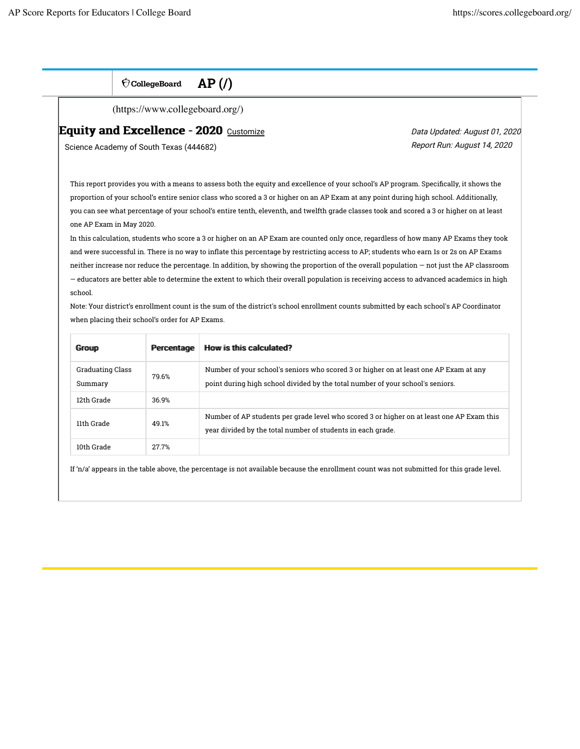$\bigcirc$  CollegeBoard  $AP$  (/)

(https://www.collegeboard.org/)

## Equity and Excellence - 2020 Customize

Science Academy of South Texas (444682)

Data Updated: August 01, 2020 Report Run: August 14, 2020

This report provides you with a means to assess both the equity and excellence of your school's AP program. Specifically, it shows the proportion of your school's entire senior class who scored a 3 or higher on an AP Exam at any point during high school. Additionally, you can see what percentage of your school's entire tenth, eleventh, and twelfth grade classes took and scored a 3 or higher on at least one AP Exam in May 2020.

In this calculation, students who score a 3 or higher on an AP Exam are counted only once, regardless of how many AP Exams they took and were successful in. There is no way to inflate this percentage by restricting access to AP; students who earn 1s or 2s on AP Exams neither increase nor reduce the percentage. In addition, by showing the proportion of the overall population — not just the AP classroom — educators are better able to determine the extent to which their overall population is receiving access to advanced academics in high school.

Note: Your district's enrollment count is the sum of the district's school enrollment counts submitted by each school's AP Coordinator when placing their school's order for AP Exams.

| <b>Group</b>                       | Percentage | How is this calculated?                                                                                                                                                 |
|------------------------------------|------------|-------------------------------------------------------------------------------------------------------------------------------------------------------------------------|
| <b>Graduating Class</b><br>Summary | 79.6%      | Number of your school's seniors who scored 3 or higher on at least one AP Exam at any<br>point during high school divided by the total number of your school's seniors. |
| 12th Grade                         | 36.9%      |                                                                                                                                                                         |
| 11th Grade                         | 49.1%      | Number of AP students per grade level who scored 3 or higher on at least one AP Exam this<br>year divided by the total number of students in each grade.                |
| 10th Grade                         | 27.7%      |                                                                                                                                                                         |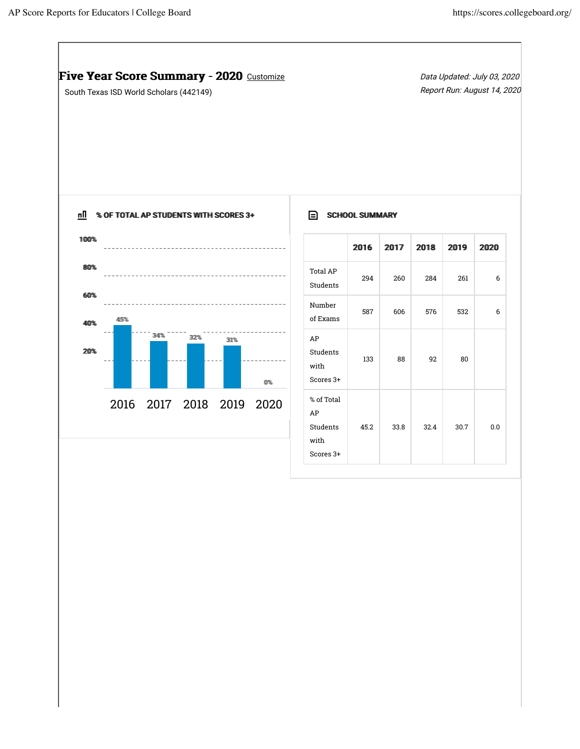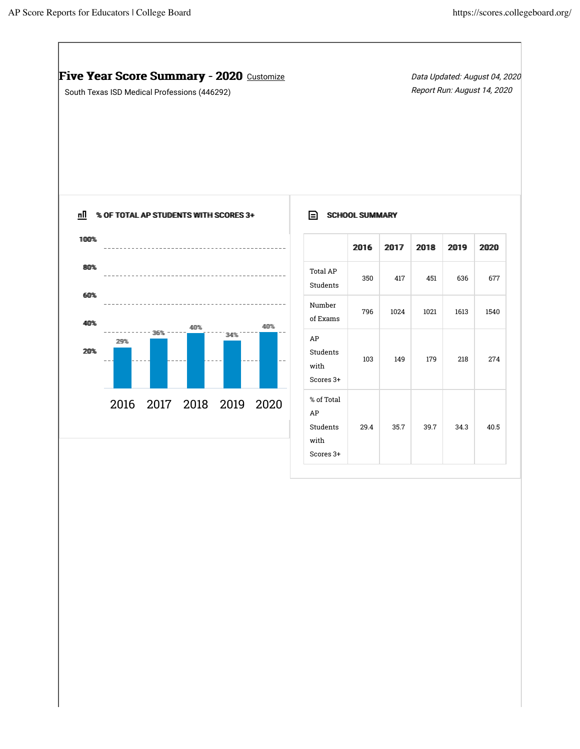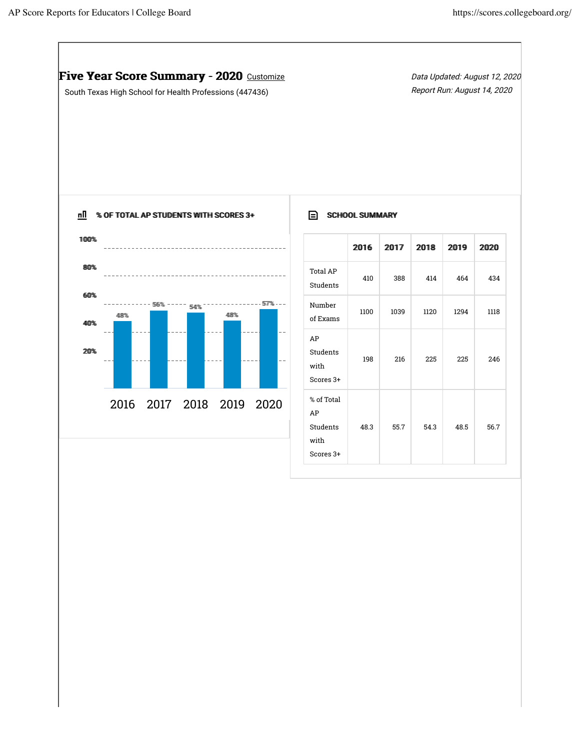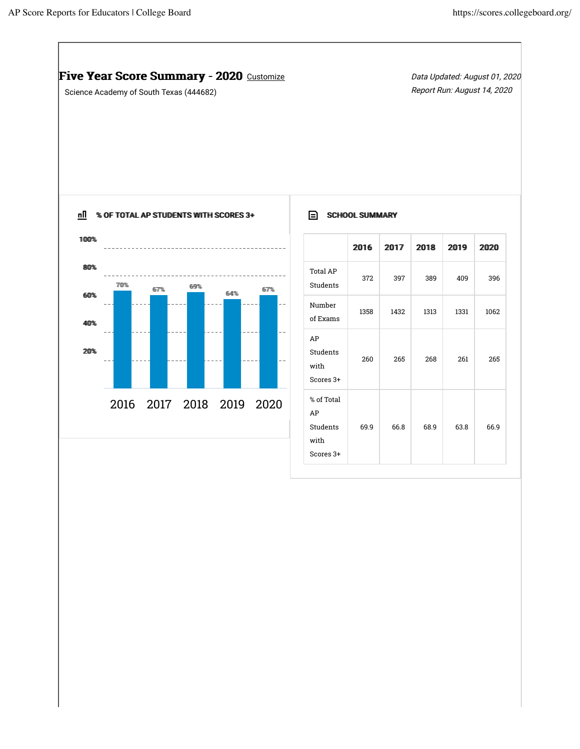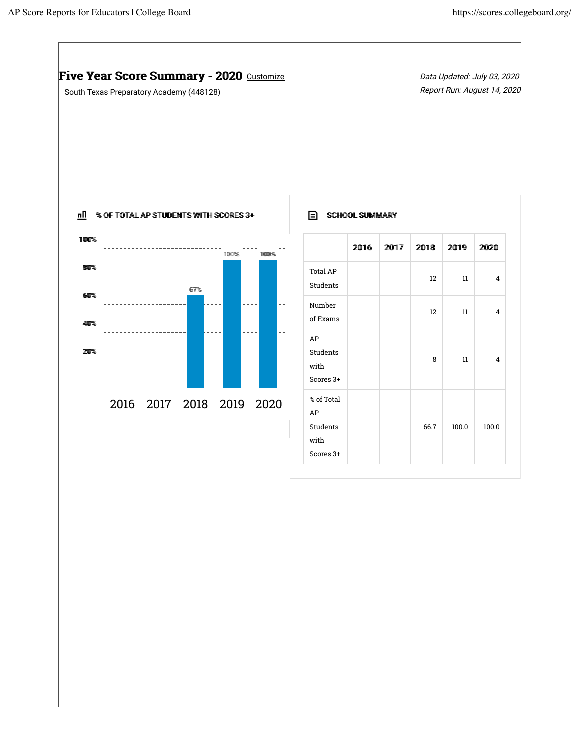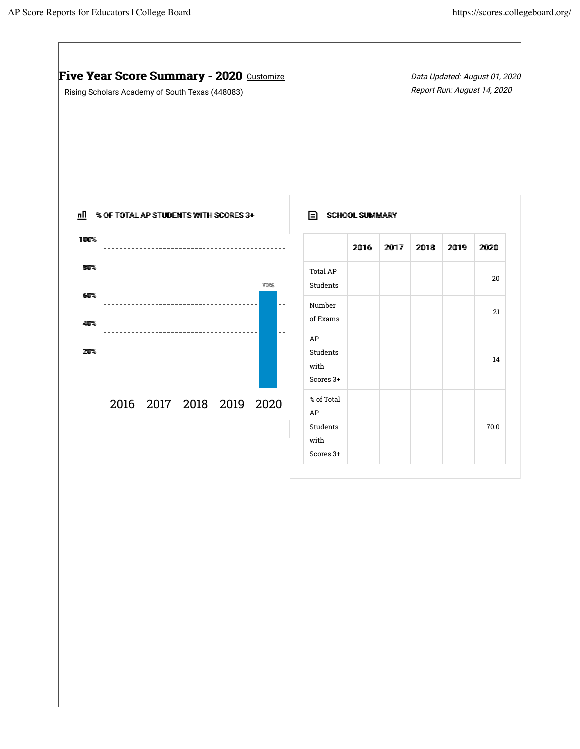